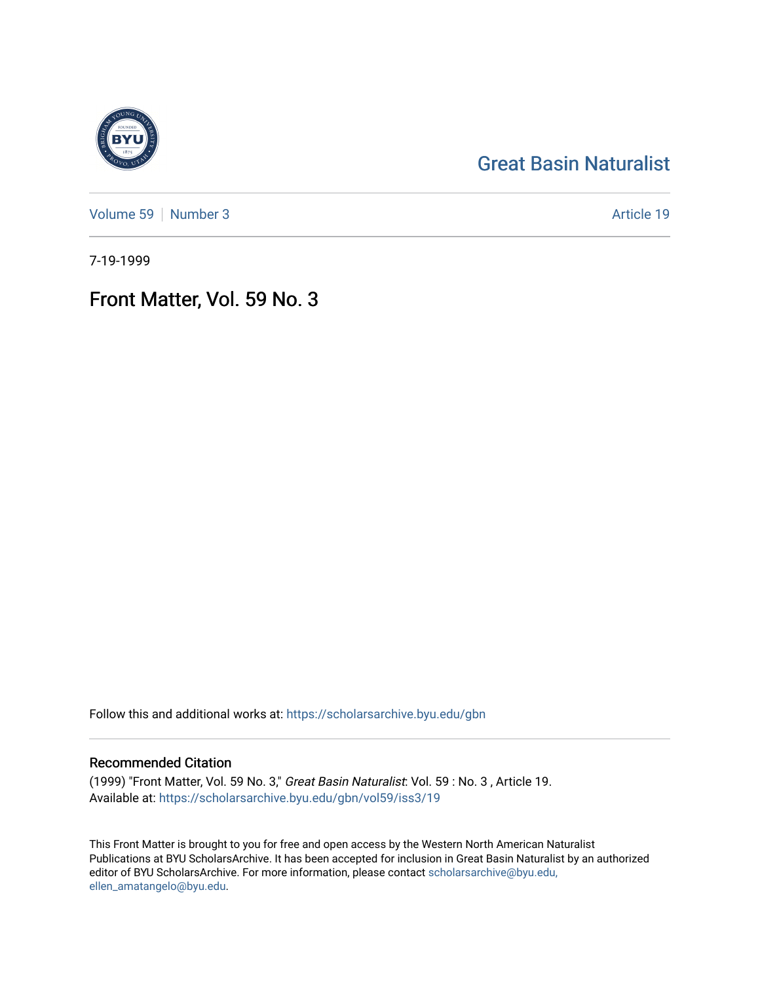# [Great Basin Naturalist](https://scholarsarchive.byu.edu/gbn)

[Volume 59](https://scholarsarchive.byu.edu/gbn/vol59) | [Number 3](https://scholarsarchive.byu.edu/gbn/vol59/iss3) Article 19

7-19-1999

# Front Matter, Vol. 59 No. 3

Follow this and additional works at: [https://scholarsarchive.byu.edu/gbn](https://scholarsarchive.byu.edu/gbn?utm_source=scholarsarchive.byu.edu%2Fgbn%2Fvol59%2Fiss3%2F19&utm_medium=PDF&utm_campaign=PDFCoverPages) 

### Recommended Citation

(1999) "Front Matter, Vol. 59 No. 3," Great Basin Naturalist: Vol. 59 : No. 3 , Article 19. Available at: [https://scholarsarchive.byu.edu/gbn/vol59/iss3/19](https://scholarsarchive.byu.edu/gbn/vol59/iss3/19?utm_source=scholarsarchive.byu.edu%2Fgbn%2Fvol59%2Fiss3%2F19&utm_medium=PDF&utm_campaign=PDFCoverPages) 

This Front Matter is brought to you for free and open access by the Western North American Naturalist Publications at BYU ScholarsArchive. It has been accepted for inclusion in Great Basin Naturalist by an authorized editor of BYU ScholarsArchive. For more information, please contact [scholarsarchive@byu.edu,](mailto:scholarsarchive@byu.edu,%20ellen_amatangelo@byu.edu) [ellen\\_amatangelo@byu.edu](mailto:scholarsarchive@byu.edu,%20ellen_amatangelo@byu.edu).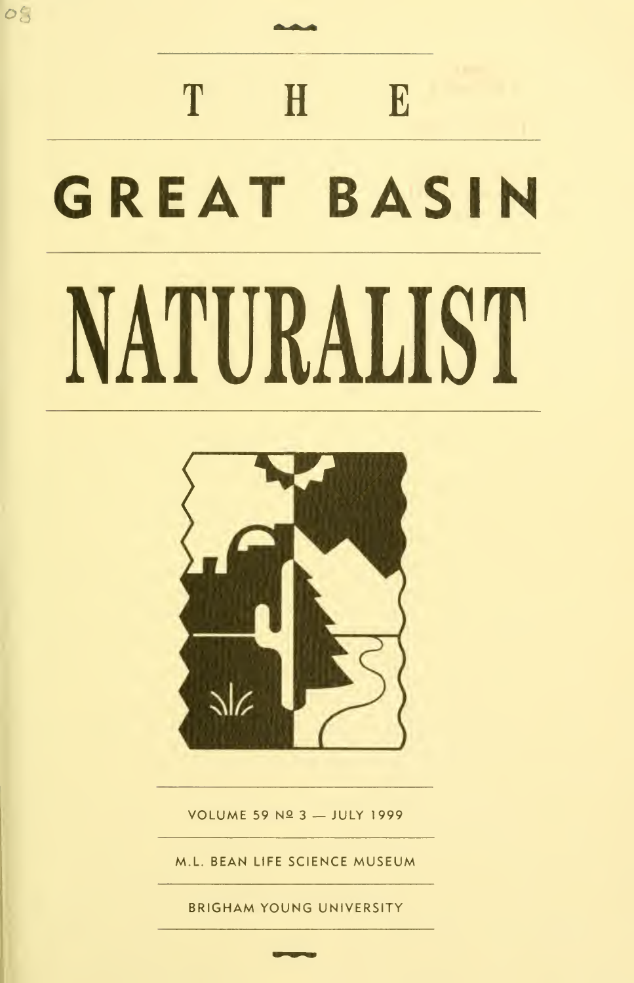# T H E GREAT BASIN NATURALIST

 $O_{\mathcal{O}}^{\epsilon}$ 



VOLUME 59 Nº 3 - JULY 1999

ML. BEAN LIFE SCIENCE MUSEUM

BRIGHAM YOUNG UNIVERSITY